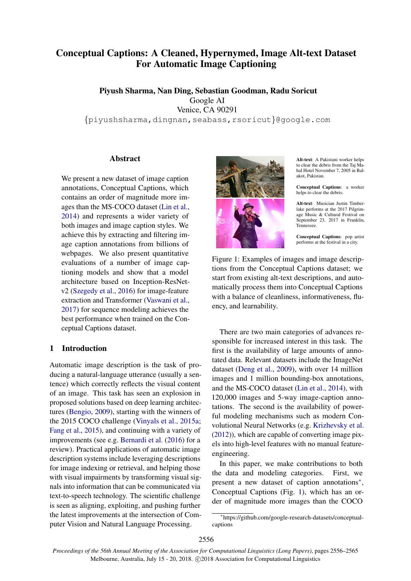# Conceptual Captions: A Cleaned, Hypernymed, Image Alt-text Dataset For Automatic Image Captioning

Piyush Sharma, Nan Ding, Sebastian Goodman, Radu Soricut Google AI Venice, CA 90291 {piyushsharma,dingnan,seabass,rsoricut}@google.com

#### Abstract

We present a new dataset of image caption annotations, Conceptual Captions, which contains an order of magnitude more images than the MS-COCO dataset (Lin et al., 2014) and represents a wider variety of both images and image caption styles. We achieve this by extracting and filtering image caption annotations from billions of webpages. We also present quantitative evaluations of a number of image captioning models and show that a model architecture based on Inception-ResNetv2 (Szegedy et al., 2016) for image-feature extraction and Transformer (Vaswani et al., 2017) for sequence modeling achieves the best performance when trained on the Conceptual Captions dataset.

#### 1 Introduction

Automatic image description is the task of producing a natural-language utterance (usually a sentence) which correctly reflects the visual content of an image. This task has seen an explosion in proposed solutions based on deep learning architectures (Bengio, 2009), starting with the winners of the 2015 COCO challenge (Vinyals et al., 2015a; Fang et al., 2015), and continuing with a variety of improvements (see e.g. Bernardi et al. (2016) for a review). Practical applications of automatic image description systems include leveraging descriptions for image indexing or retrieval, and helping those with visual impairments by transforming visual signals into information that can be communicated via text-to-speech technology. The scientific challenge is seen as aligning, exploiting, and pushing further the latest improvements at the intersection of Computer Vision and Natural Language Processing.



Alt-text: A Pakistani worker helps to clear the debris from the Taj Mahal Hotel November 7, 2005 in Balakot, Pakistan.

Conceptual Captions: a worker helps to clear the debris.

Alt-text: Musician Justin Timberlake performs at the 2017 Pilgrimage Music & Cultural Festival on September 23, 2017 in Franklin, Tennessee.

Conceptual Captions: pop artist performs at the festival in a city.

Figure 1: Examples of images and image descriptions from the Conceptual Captions dataset; we start from existing alt-text descriptions, and automatically process them into Conceptual Captions with a balance of cleanliness, informativeness, fluency, and learnability.

There are two main categories of advances responsible for increased interest in this task. The first is the availability of large amounts of annotated data. Relevant datasets include the ImageNet dataset (Deng et al., 2009), with over 14 million images and 1 million bounding-box annotations, and the MS-COCO dataset (Lin et al., 2014), with 120,000 images and 5-way image-caption annotations. The second is the availability of powerful modeling mechanisms such as modern Convolutional Neural Networks (e.g. Krizhevsky et al. (2012)), which are capable of converting image pixels into high-level features with no manual featureengineering.

In this paper, we make contributions to both the data and modeling categories. First, we present a new dataset of caption annotations<sup>\*</sup>, Conceptual Captions (Fig. 1), which has an order of magnitude more images than the COCO

<sup>∗</sup> https://github.com/google-research-datasets/conceptualcaptions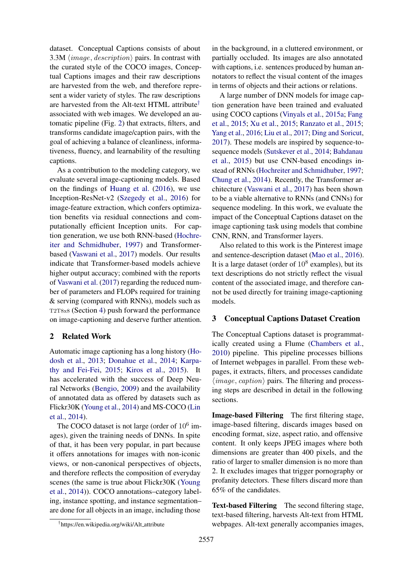dataset. Conceptual Captions consists of about 3.3M  $\langle image, description \rangle$  pairs. In contrast with the curated style of the COCO images, Conceptual Captions images and their raw descriptions are harvested from the web, and therefore represent a wider variety of styles. The raw descriptions are harvested from the Alt-text HTML attribute† associated with web images. We developed an automatic pipeline (Fig. 2) that extracts, filters, and transforms candidate image/caption pairs, with the goal of achieving a balance of cleanliness, informativeness, fluency, and learnability of the resulting captions.

As a contribution to the modeling category, we evaluate several image-captioning models. Based on the findings of Huang et al. (2016), we use Inception-ResNet-v2 (Szegedy et al., 2016) for image-feature extraction, which confers optimization benefits via residual connections and computationally efficient Inception units. For caption generation, we use both RNN-based (Hochreiter and Schmidhuber, 1997) and Transformerbased (Vaswani et al., 2017) models. Our results indicate that Transformer-based models achieve higher output accuracy; combined with the reports of Vaswani et al. (2017) regarding the reduced number of parameters and FLOPs required for training & serving (compared with RNNs), models such as T2T8x8 (Section 4) push forward the performance on image-captioning and deserve further attention.

## 2 Related Work

Automatic image captioning has a long history (Hodosh et al., 2013; Donahue et al., 2014; Karpathy and Fei-Fei, 2015; Kiros et al., 2015). It has accelerated with the success of Deep Neural Networks (Bengio, 2009) and the availability of annotated data as offered by datasets such as Flickr30K (Young et al., 2014) and MS-COCO (Lin et al., 2014).

The COCO dataset is not large (order of  $10^6$  images), given the training needs of DNNs. In spite of that, it has been very popular, in part because it offers annotations for images with non-iconic views, or non-canonical perspectives of objects, and therefore reflects the composition of everyday scenes (the same is true about Flickr30K (Young et al., 2014)). COCO annotations–category labeling, instance spotting, and instance segmentation– are done for all objects in an image, including those

in the background, in a cluttered environment, or partially occluded. Its images are also annotated with captions, i.e. sentences produced by human annotators to reflect the visual content of the images in terms of objects and their actions or relations.

A large number of DNN models for image caption generation have been trained and evaluated using COCO captions (Vinyals et al., 2015a; Fang et al., 2015; Xu et al., 2015; Ranzato et al., 2015; Yang et al., 2016; Liu et al., 2017; Ding and Soricut, 2017). These models are inspired by sequence-tosequence models (Sutskever et al., 2014; Bahdanau et al., 2015) but use CNN-based encodings instead of RNNs (Hochreiter and Schmidhuber, 1997; Chung et al., 2014). Recently, the Transformer architecture (Vaswani et al., 2017) has been shown to be a viable alternative to RNNs (and CNNs) for sequence modeling. In this work, we evaluate the impact of the Conceptual Captions dataset on the image captioning task using models that combine CNN, RNN, and Transformer layers.

Also related to this work is the Pinterest image and sentence-description dataset (Mao et al., 2016). It is a large dataset (order of  $10^8$  examples), but its text descriptions do not strictly reflect the visual content of the associated image, and therefore cannot be used directly for training image-captioning models.

#### 3 Conceptual Captions Dataset Creation

The Conceptual Captions dataset is programmatically created using a Flume (Chambers et al., 2010) pipeline. This pipeline processes billions of Internet webpages in parallel. From these webpages, it extracts, filters, and processes candidate  $\langle image, caption \rangle$  pairs. The filtering and processing steps are described in detail in the following sections.

Image-based Filtering The first filtering stage, image-based filtering, discards images based on encoding format, size, aspect ratio, and offensive content. It only keeps JPEG images where both dimensions are greater than 400 pixels, and the ratio of larger to smaller dimension is no more than 2. It excludes images that trigger pornography or profanity detectors. These filters discard more than 65% of the candidates.

Text-based Filtering The second filtering stage, text-based filtering, harvests Alt-text from HTML webpages. Alt-text generally accompanies images,

<sup>†</sup> https://en.wikipedia.org/wiki/Alt attribute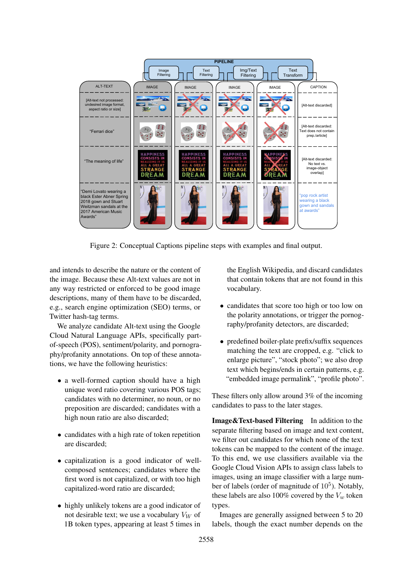

Figure 2: Conceptual Captions pipeline steps with examples and final output.

and intends to describe the nature or the content of the image. Because these Alt-text values are not in any way restricted or enforced to be good image descriptions, many of them have to be discarded, e.g., search engine optimization (SEO) terms, or Twitter hash-tag terms.

We analyze candidate Alt-text using the Google Cloud Natural Language APIs, specifically partof-speech (POS), sentiment/polarity, and pornography/profanity annotations. On top of these annotations, we have the following heuristics:

- a well-formed caption should have a high unique word ratio covering various POS tags; candidates with no determiner, no noun, or no preposition are discarded; candidates with a high noun ratio are also discarded;
- candidates with a high rate of token repetition are discarded;
- capitalization is a good indicator of wellcomposed sentences; candidates where the first word is not capitalized, or with too high capitalized-word ratio are discarded;
- highly unlikely tokens are a good indicator of not desirable text; we use a vocabulary  $V_W$  of 1B token types, appearing at least 5 times in

the English Wikipedia, and discard candidates that contain tokens that are not found in this vocabulary.

- candidates that score too high or too low on the polarity annotations, or trigger the pornography/profanity detectors, are discarded;
- predefined boiler-plate prefix/suffix sequences matching the text are cropped, e.g. "click to enlarge picture", "stock photo"; we also drop text which begins/ends in certain patterns, e.g. "embedded image permalink", "profile photo".

These filters only allow around 3% of the incoming candidates to pass to the later stages.

Image&Text-based Filtering In addition to the separate filtering based on image and text content, we filter out candidates for which none of the text tokens can be mapped to the content of the image. To this end, we use classifiers available via the Google Cloud Vision APIs to assign class labels to images, using an image classifier with a large number of labels (order of magnitude of  $10<sup>5</sup>$ ). Notably, these labels are also 100% covered by the  $V_w$  token types.

Images are generally assigned between 5 to 20 labels, though the exact number depends on the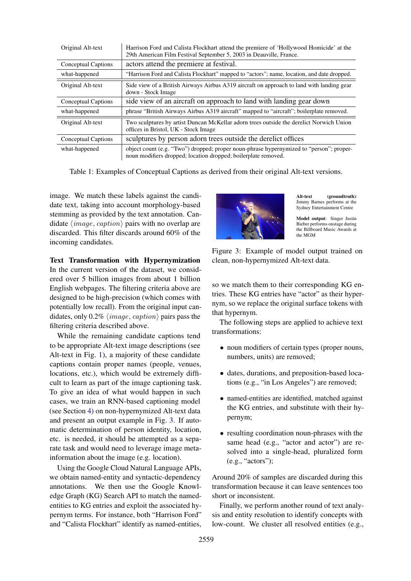| Original Alt-text          | Harrison Ford and Calista Flockhart attend the premiere of 'Hollywood Homicide' at the<br>29th American Film Festival September 5, 2003 in Deauville, France. |
|----------------------------|---------------------------------------------------------------------------------------------------------------------------------------------------------------|
| Conceptual Captions        | actors attend the premiere at festival.                                                                                                                       |
| what-happened              | "Harrison Ford and Calista Flockhart" mapped to "actors"; name, location, and date dropped.                                                                   |
| Original Alt-text          | Side view of a British Airways Airbus A319 aircraft on approach to land with landing gear<br>down - Stock Image                                               |
| <b>Conceptual Captions</b> | side view of an aircraft on approach to land with landing gear down                                                                                           |
| what-happened              | phrase "British Airways Airbus A319 aircraft" mapped to "aircraft"; boilerplate removed.                                                                      |
| Original Alt-text          | Two sculptures by artist Duncan McKellar adorn trees outside the derelict Norwich Union<br>offices in Bristol, UK - Stock Image                               |
| Conceptual Captions        | sculptures by person adorn trees outside the derelict offices                                                                                                 |
| what-happened              | object count (e.g. "Two") dropped; proper noun-phrase hypernymized to "person"; proper-<br>noun modifiers dropped; location dropped; boilerplate removed.     |

Table 1: Examples of Conceptual Captions as derived from their original Alt-text versions.

image. We match these labels against the candidate text, taking into account morphology-based stemming as provided by the text annotation. Candidate  $\langle image, caption \rangle$  pairs with no overlap are discarded. This filter discards around 60% of the incoming candidates.

Text Transformation with Hypernymization In the current version of the dataset, we considered over 5 billion images from about 1 billion English webpages. The filtering criteria above are designed to be high-precision (which comes with potentially low recall). From the original input candidates, only 0.2%  $\langle image, caption \rangle$  pairs pass the filtering criteria described above.

While the remaining candidate captions tend to be appropriate Alt-text image descriptions (see Alt-text in Fig. 1), a majority of these candidate captions contain proper names (people, venues, locations, etc.), which would be extremely difficult to learn as part of the image captioning task. To give an idea of what would happen in such cases, we train an RNN-based captioning model (see Section 4) on non-hypernymized Alt-text data and present an output example in Fig. 3. If automatic determination of person identity, location, etc. is needed, it should be attempted as a separate task and would need to leverage image metainformation about the image (e.g. location).

Using the Google Cloud Natural Language APIs, we obtain named-entity and syntactic-dependency annotations. We then use the Google Knowledge Graph (KG) Search API to match the namedentities to KG entries and exploit the associated hypernym terms. For instance, both "Harrison Ford" and "Calista Flockhart" identify as named-entities,



Alt-text (groundtruth): Jimmy Barnes performs at the Sydney Entertainment Centre

Model output: Singer Justin Bieber performs onstage during the Billboard Music Awards at the MGM

Figure 3: Example of model output trained on clean, non-hypernymized Alt-text data.

so we match them to their corresponding KG entries. These KG entries have "actor" as their hypernym, so we replace the original surface tokens with that hypernym.

The following steps are applied to achieve text transformations:

- noun modifiers of certain types (proper nouns, numbers, units) are removed;
- dates, durations, and preposition-based locations (e.g., "in Los Angeles") are removed;
- named-entities are identified, matched against the KG entries, and substitute with their hypernym;
- resulting coordination noun-phrases with the same head (e.g., "actor and actor") are resolved into a single-head, pluralized form (e.g., "actors");

Around 20% of samples are discarded during this transformation because it can leave sentences too short or inconsistent.

Finally, we perform another round of text analysis and entity resolution to identify concepts with low-count. We cluster all resolved entities (e.g.,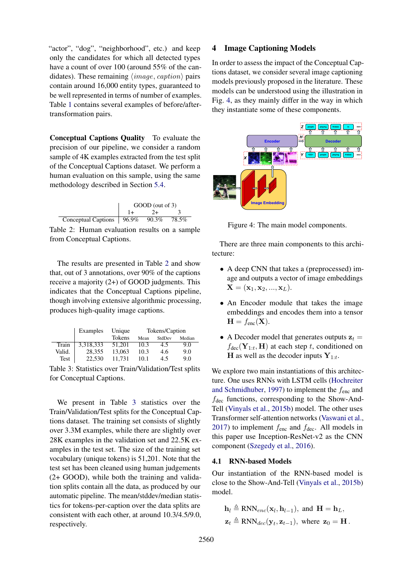"actor", "dog", "neighborhood", etc.) and keep only the candidates for which all detected types have a count of over 100 (around 55% of the candidates). These remaining  $\langle image, caption \rangle$  pairs contain around 16,000 entity types, guaranteed to be well represented in terms of number of examples. Table 1 contains several examples of before/aftertransformation pairs.

Conceptual Captions Quality To evaluate the precision of our pipeline, we consider a random sample of 4K examples extracted from the test split of the Conceptual Captions dataset. We perform a human evaluation on this sample, using the same methodology described in Section 5.4.



Table 2: Human evaluation results on a sample from Conceptual Captions.

The results are presented in Table 2 and show that, out of 3 annotations, over 90% of the captions receive a majority (2+) of GOOD judgments. This indicates that the Conceptual Captions pipeline, though involving extensive algorithmic processing, produces high-quality image captions.

|        | Examples  | Unique | Tokens/Caption |        |        |
|--------|-----------|--------|----------------|--------|--------|
|        |           | Tokens | Mean           | StdDev | Median |
| Train  | 3,318,333 | 51.201 | 10.3           | 4.5    | 9.0    |
| Valid. | 28.355    | 13.063 | 10.3           | 4.6    | 9.0    |
| Test   | 22,530    | 11.731 | 10.1           | 4.5    | 9.0    |

Table 3: Statistics over Train/Validation/Test splits for Conceptual Captions.

We present in Table 3 statistics over the Train/Validation/Test splits for the Conceptual Captions dataset. The training set consists of slightly over 3.3M examples, while there are slightly over 28K examples in the validation set and 22.5K examples in the test set. The size of the training set vocabulary (unique tokens) is 51,201. Note that the test set has been cleaned using human judgements (2+ GOOD), while both the training and validation splits contain all the data, as produced by our automatic pipeline. The mean/stddev/median statistics for tokens-per-caption over the data splits are consistent with each other, at around 10.3/4.5/9.0, respectively.

#### 4 Image Captioning Models

In order to assess the impact of the Conceptual Captions dataset, we consider several image captioning models previously proposed in the literature. These models can be understood using the illustration in Fig. 4, as they mainly differ in the way in which they instantiate some of these components.



Figure 4: The main model components.

There are three main components to this architecture:

- A deep CNN that takes a (preprocessed) image and outputs a vector of image embeddings  $X = (x_1, x_2, ..., x_L).$
- An Encoder module that takes the image embeddings and encodes them into a tensor  $H = f_{enc}(\mathbf{X}).$
- A Decoder model that generates outputs  $z_t =$  $f_{\text{dec}}(\mathbf{Y}_{1:t}, \mathbf{H})$  at each step t, conditioned on **H** as well as the decoder inputs  $Y_{1:t}$ .

We explore two main instantiations of this architecture. One uses RNNs with LSTM cells (Hochreiter and Schmidhuber, 1997) to implement the  $f_{\text{enc}}$  and  $f_{\text{dec}}$  functions, corresponding to the Show-And-Tell (Vinyals et al., 2015b) model. The other uses Transformer self-attention networks (Vaswani et al., 2017) to implement  $f_{\text{enc}}$  and  $f_{\text{dec}}$ . All models in this paper use Inception-ResNet-v2 as the CNN component (Szegedy et al., 2016).

#### 4.1 RNN-based Models

Our instantiation of the RNN-based model is close to the Show-And-Tell (Vinyals et al., 2015b) model.

$$
\mathbf{h}_l \triangleq \text{RNN}_{enc}(\mathbf{x}_l, \mathbf{h}_{l-1}), \text{ and } \mathbf{H} = \mathbf{h}_L,
$$
  

$$
\mathbf{z}_t \triangleq \text{RNN}_{dec}(\mathbf{y}_t, \mathbf{z}_{t-1}), \text{ where } \mathbf{z}_0 = \mathbf{H}.
$$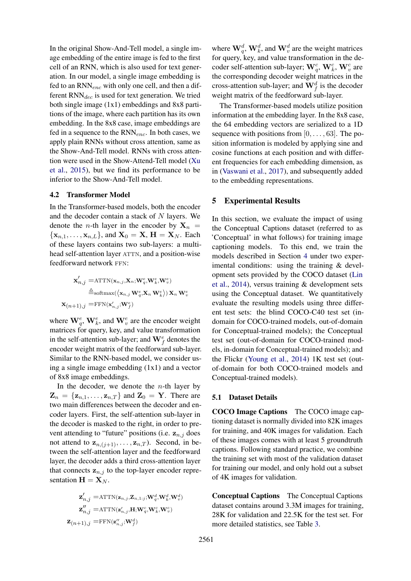In the original Show-And-Tell model, a single image embedding of the entire image is fed to the first cell of an RNN, which is also used for text generation. In our model, a single image embedding is fed to an  $RNN_{enc}$  with only one cell, and then a different  $RNN_{dec}$  is used for text generation. We tried both single image (1x1) embeddings and 8x8 partitions of the image, where each partition has its own embedding. In the 8x8 case, image embeddings are fed in a sequence to the  $RNN_{enc}$ . In both cases, we apply plain RNNs without cross attention, same as the Show-And-Tell model. RNNs with cross attention were used in the Show-Attend-Tell model (Xu et al., 2015), but we find its performance to be inferior to the Show-And-Tell model.

#### 4.2 Transformer Model

In the Transformer-based models, both the encoder and the decoder contain a stack of N layers. We denote the *n*-th layer in the encoder by  $X_n$  =  $\{x_{n,1}, \ldots, x_{n,L}\}\$ , and  $X_0 = X$ ,  $H = X_N$ . Each of these layers contains two sub-layers: a multihead self-attention layer ATTN, and a position-wise feedforward network FFN:

$$
\begin{aligned} \mathbf{x}'_{n,j} = & \mathrm{ATTN}(\mathbf{x}_{n,j},\!\mathbf{X}_n;\!\mathbf{W}^e_q,\!\mathbf{W}^e_k,\!\mathbf{W}^e_v) \\ \triangleq & \mathrm{softmax}(\langle \mathbf{x}_{n,j} \, \mathbf{W}^e_q,\!\mathbf{X}_n \, \mathbf{W}^e_k \rangle) \, \mathbf{X}_n \, \mathbf{W}^e_v \\ \mathbf{x}_{(n+1),j} = & \mathrm{FFN}(\mathbf{x}'_{n,j};\!\mathbf{W}^e_f) \end{aligned}
$$

where  $\mathbf{W}_q^e$ ,  $\mathbf{W}_k^e$ , and  $\mathbf{W}_v^e$  are the encoder weight matrices for query, key, and value transformation in the self-attention sub-layer; and  $\mathbf{W}_f^e$  denotes the encoder weight matrix of the feedforward sub-layer. Similar to the RNN-based model, we consider using a single image embedding (1x1) and a vector of 8x8 image embeddings.

In the decoder, we denote the  $n$ -th layer by  $\mathbf{Z}_n = \{ \mathbf{z}_{n,1}, \dots, \mathbf{z}_{n,T} \}$  and  $\mathbf{Z}_0 = \mathbf{Y}$ . There are two main differences between the decoder and encoder layers. First, the self-attention sub-layer in the decoder is masked to the right, in order to prevent attending to "future" positions (i.e.  $z_{n,j}$  does not attend to  $z_{n,(j+1)}, \ldots, z_{n,T}$ ). Second, in between the self-attention layer and the feedforward layer, the decoder adds a third cross-attention layer that connects  $z_{n,j}$  to the top-layer encoder representation  $\mathbf{H} = \mathbf{X}_N$ .

$$
\begin{aligned} \mathbf{z}_{n,j}^{\prime}=&\text{ATTN}(\mathbf{z}_{n,j},\mathbf{Z}_{n,1:j};\!\mathbf{W}_q^d,\!\mathbf{W}_k^d,\!\mathbf{W}_v^d) \\ \mathbf{z}_{n,j}^{\prime\prime}=&\text{ATTN}(\mathbf{z}_{n,j}^{\prime},\!\mathbf{H};\!\mathbf{W}_q^c,\!\mathbf{W}_k^c,\!\mathbf{W}_v^c) \\ \mathbf{Z}_{(n+1),j}=&\text{FFN}(\mathbf{z}_{n,j}^{\prime\prime};\!\mathbf{W}_f^d) \end{aligned}
$$

where  $\mathbf{W}_q^d$ ,  $\mathbf{W}_k^d$ , and  $\mathbf{W}_v^d$  are the weight matrices for query, key, and value transformation in the decoder self-attention sub-layer;  $\mathbf{W}_q^c$ ,  $\mathbf{W}_k^c$ ,  $\mathbf{W}_v^c$  are the corresponding decoder weight matrices in the cross-attention sub-layer; and  $\mathbf{W}_f^d$  is the decoder weight matrix of the feedforward sub-layer.

The Transformer-based models utilize position information at the embedding layer. In the 8x8 case, the 64 embedding vectors are serialized to a 1D sequence with positions from  $[0, \ldots, 63]$ . The position information is modeled by applying sine and cosine functions at each position and with different frequencies for each embedding dimension, as in (Vaswani et al., 2017), and subsequently added to the embedding representations.

#### 5 Experimental Results

In this section, we evaluate the impact of using the Conceptual Captions dataset (referred to as 'Conceptual' in what follows) for training image captioning models. To this end, we train the models described in Section 4 under two experimental conditions: using the training & development sets provided by the COCO dataset (Lin et al., 2014), versus training & development sets using the Conceptual dataset. We quantitatively evaluate the resulting models using three different test sets: the blind COCO-C40 test set (indomain for COCO-trained models, out-of-domain for Conceptual-trained models); the Conceptual test set (out-of-domain for COCO-trained models, in-domain for Conceptual-trained models); and the Flickr (Young et al., 2014) 1K test set (outof-domain for both COCO-trained models and Conceptual-trained models).

#### 5.1 Dataset Details

COCO Image Captions The COCO image captioning dataset is normally divided into 82K images for training, and 40K images for validation. Each of these images comes with at least 5 groundtruth captions. Following standard practice, we combine the training set with most of the validation dataset for training our model, and only hold out a subset of 4K images for validation.

Conceptual Captions The Conceptual Captions dataset contains around 3.3M images for training, 28K for validation and 22.5K for the test set. For more detailed statistics, see Table 3.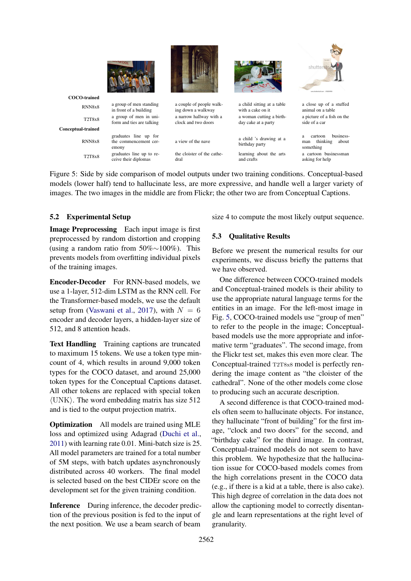

Figure 5: Side by side comparison of model outputs under two training conditions. Conceptual-based models (lower half) tend to hallucinate less, are more expressive, and handle well a larger variety of images. The two images in the middle are from Flickr; the other two are from Conceptual Captions.

## 5.2 Experimental Setup

Image Preprocessing Each input image is first preprocessed by random distortion and cropping (using a random ratio from 50%∼100%). This prevents models from overfitting individual pixels of the training images.

Encoder-Decoder For RNN-based models, we use a 1-layer, 512-dim LSTM as the RNN cell. For the Transformer-based models, we use the default setup from (Vaswani et al., 2017), with  $N = 6$ encoder and decoder layers, a hidden-layer size of 512, and 8 attention heads.

Text Handling Training captions are truncated to maximum 15 tokens. We use a token type mincount of 4, which results in around 9,000 token types for the COCO dataset, and around 25,000 token types for the Conceptual Captions dataset. All other tokens are replaced with special token  $\langle$ UNK $\rangle$ . The word embedding matrix has size 512 and is tied to the output projection matrix.

Optimization All models are trained using MLE loss and optimized using Adagrad (Duchi et al., 2011) with learning rate 0.01. Mini-batch size is 25. All model parameters are trained for a total number of 5M steps, with batch updates asynchronously distributed across 40 workers. The final model is selected based on the best CIDEr score on the development set for the given training condition.

Inference During inference, the decoder prediction of the previous position is fed to the input of the next position. We use a beam search of beam

size 4 to compute the most likely output sequence.

### 5.3 Qualitative Results

Before we present the numerical results for our experiments, we discuss briefly the patterns that we have observed.

One difference between COCO-trained models and Conceptual-trained models is their ability to use the appropriate natural language terms for the entities in an image. For the left-most image in Fig. 5, COCO-trained models use "group of men" to refer to the people in the image; Conceptualbased models use the more appropriate and informative term "graduates". The second image, from the Flickr test set, makes this even more clear. The Conceptual-trained T2T8x8 model is perfectly rendering the image content as "the cloister of the cathedral". None of the other models come close to producing such an accurate description.

A second difference is that COCO-trained models often seem to hallucinate objects. For instance, they hallucinate "front of building" for the first image, "clock and two doors" for the second, and "birthday cake" for the third image. In contrast, Conceptual-trained models do not seem to have this problem. We hypothesize that the hallucination issue for COCO-based models comes from the high correlations present in the COCO data (e.g., if there is a kid at a table, there is also cake). This high degree of correlation in the data does not allow the captioning model to correctly disentangle and learn representations at the right level of granularity.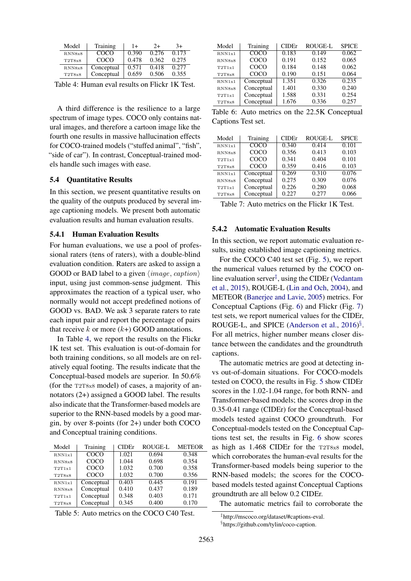| Model  | Training   | $+$   | $2+$  | 3+    |
|--------|------------|-------|-------|-------|
| RNN8x8 | COCO       | 0.390 | 0.276 | 0.173 |
| T2T8x8 | COCO       | 0.478 | 0.362 | 0.275 |
| RNN8x8 | Conceptual | 0.571 | 0.418 | 0.277 |
| T2T8x8 | Conceptual | 0.659 | 0.506 | 0.355 |

Table 4: Human eval results on Flickr 1K Test.

A third difference is the resilience to a large spectrum of image types. COCO only contains natural images, and therefore a cartoon image like the fourth one results in massive hallucination effects for COCO-trained models ("stuffed animal", "fish", "side of car"). In contrast, Conceptual-trained models handle such images with ease.

#### 5.4 Quantitative Results

In this section, we present quantitative results on the quality of the outputs produced by several image captioning models. We present both automatic evaluation results and human evaluation results.

#### 5.4.1 Human Evaluation Results

For human evaluations, we use a pool of professional raters (tens of raters), with a double-blind evaluation condition. Raters are asked to assign a GOOD or BAD label to a given  $\langle image, caption \rangle$ input, using just common-sense judgment. This approximates the reaction of a typical user, who normally would not accept predefined notions of GOOD vs. BAD. We ask 3 separate raters to rate each input pair and report the percentage of pairs that receive k or more  $(k+)$  GOOD annotations.

In Table 4, we report the results on the Flickr 1K test set. This evaluation is out-of-domain for both training conditions, so all models are on relatively equal footing. The results indicate that the Conceptual-based models are superior. In 50.6% (for the T2T8x8 model) of cases, a majority of annotators (2+) assigned a GOOD label. The results also indicate that the Transformer-based models are superior to the RNN-based models by a good margin, by over 8-points (for 2+) under both COCO and Conceptual training conditions.

| Model  | Training   | <b>CIDE</b> r | <b>ROUGE-L</b> | <b>METEOR</b> |
|--------|------------|---------------|----------------|---------------|
| RNN1x1 | COCO       | 1.021         | 0.694          | 0.348         |
| RNN8x8 | COCO       | 1.044         | 0.698          | 0.354         |
| T2T1x1 | COCO       | 1.032         | 0.700          | 0.358         |
| T2T8x8 | COCO       | 1.032         | 0.700          | 0.356         |
| RNN1x1 | Conceptual | 0.403         | 0.445          | 0.191         |
| RNN8x8 | Conceptual | 0.410         | 0.437          | 0.189         |
| T2T1x1 | Conceptual | 0.348         | 0.403          | 0.171         |
| T2T8x8 | Conceptual | 0.345         | 0.400          | 0.170         |

Table 5: Auto metrics on the COCO C40 Test.

| Model  | Training    | CIDEr | <b>ROUGE-L</b> | <b>SPICE</b> |
|--------|-------------|-------|----------------|--------------|
| RNN1x1 | <b>COCO</b> | 0.183 | 0.149          | 0.062        |
| RNN8x8 | <b>COCO</b> | 0.191 | 0.152          | 0.065        |
| T2T1x1 | COCO        | 0.184 | 0.148          | 0.062        |
| T2T8x8 | COCO        | 0.190 | 0.151          | 0.064        |
| RNN1x1 | Conceptual  | 1.351 | 0.326          | 0.235        |
| RNN8x8 | Conceptual  | 1.401 | 0.330          | 0.240        |
| T2T1x1 | Conceptual  | 1.588 | 0.331          | 0.254        |
| T2T8x8 | Conceptual  | 1.676 | 0.336          | 0.257        |

Table 6: Auto metrics on the 22.5K Conceptual Captions Test set.

| Model  | Training   | <b>CIDE</b> r | <b>ROUGE-L</b> | <b>SPICE</b> |
|--------|------------|---------------|----------------|--------------|
| RNN1x1 | COCO       | 0.340         | 0.414          | 0.101        |
| RNN8x8 | COCO       | 0.356         | 0.413          | 0.103        |
| T2T1x1 | COCO       | 0.341         | 0.404          | 0.101        |
| T2T8x8 | COCO       | 0.359         | 0.416          | 0.103        |
| RNN1x1 | Conceptual | 0.269         | 0.310          | 0.076        |
| RNN8x8 | Conceptual | 0.275         | 0.309          | 0.076        |
| T2T1x1 | Conceptual | 0.226         | 0.280          | 0.068        |
| T2T8x8 | Conceptual | 0.227         | 0.277          | 0.066        |

Table 7: Auto metrics on the Flickr 1K Test.

## 5.4.2 Automatic Evaluation Results

In this section, we report automatic evaluation results, using established image captioning metrics.

For the COCO C40 test set (Fig. 5), we report the numerical values returned by the COCO online evaluation server<sup> $\ddagger$ </sup>, using the CIDEr (Vedantam et al., 2015), ROUGE-L (Lin and Och, 2004), and METEOR (Banerjee and Lavie, 2005) metrics. For Conceptual Captions (Fig. 6) and Flickr (Fig. 7) test sets, we report numerical values for the CIDEr, ROUGE-L, and SPICE (Anderson et al., 2016)<sup>§</sup>. For all metrics, higher number means closer distance between the candidates and the groundtruth captions.

The automatic metrics are good at detecting invs out-of-domain situations. For COCO-models tested on COCO, the results in Fig. 5 show CIDEr scores in the 1.02-1.04 range, for both RNN- and Transformer-based models; the scores drop in the 0.35-0.41 range (CIDEr) for the Conceptual-based models tested against COCO groundtruth. For Conceptual-models tested on the Conceptual Captions test set, the results in Fig. 6 show scores as high as 1.468 CIDEr for the T2T8x8 model, which corroborates the human-eval results for the Transformer-based models being superior to the RNN-based models; the scores for the COCObased models tested against Conceptual Captions groundtruth are all below 0.2 CIDEr.

The automatic metrics fail to corroborate the

<sup>‡</sup> http://mscoco.org/dataset/#captions-eval. § https://github.com/tylin/coco-caption.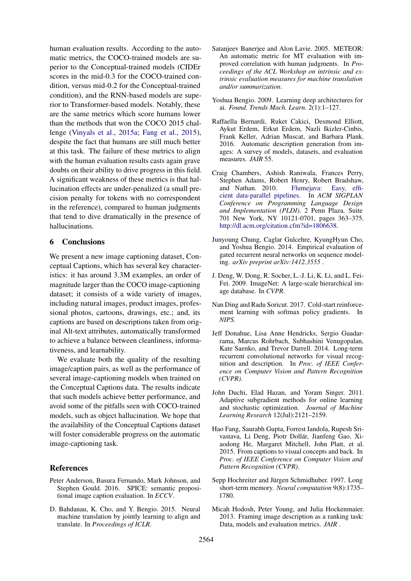human evaluation results. According to the automatic metrics, the COCO-trained models are superior to the Conceptual-trained models (CIDEr scores in the mid-0.3 for the COCO-trained condition, versus mid-0.2 for the Conceptual-trained condition), and the RNN-based models are superior to Transformer-based models. Notably, these are the same metrics which score humans lower than the methods that won the COCO 2015 challenge (Vinyals et al., 2015a; Fang et al., 2015), despite the fact that humans are still much better at this task. The failure of these metrics to align with the human evaluation results casts again grave doubts on their ability to drive progress in this field. A significant weakness of these metrics is that hallucination effects are under-penalized (a small precision penalty for tokens with no correspondent in the reference), compared to human judgments that tend to dive dramatically in the presence of hallucinations.

#### 6 Conclusions

We present a new image captioning dataset, Conceptual Captions, which has several key characteristics: it has around 3.3M examples, an order of magnitude larger than the COCO image-captioning dataset; it consists of a wide variety of images, including natural images, product images, professional photos, cartoons, drawings, etc.; and, its captions are based on descriptions taken from original Alt-text attributes, automatically transformed to achieve a balance between cleanliness, informativeness, and learnability.

We evaluate both the quality of the resulting image/caption pairs, as well as the performance of several image-captioning models when trained on the Conceptual Captions data. The results indicate that such models achieve better performance, and avoid some of the pitfalls seen with COCO-trained models, such as object hallucination. We hope that the availability of the Conceptual Captions dataset will foster considerable progress on the automatic image-captioning task.

#### **References**

- Peter Anderson, Basura Fernando, Mark Johnson, and Stephen Gould. 2016. SPICE: semantic propositional image caption evaluation. In *ECCV*.
- D. Bahdanau, K. Cho, and Y. Bengio. 2015. Neural machine translation by jointly learning to align and translate. In *Proceedings of ICLR*.
- Satanieev Baneriee and Alon Lavie. 2005. METEOR: An automatic metric for MT evaluation with improved correlation with human judgments. In *Proceedings of the ACL Workshop on intrinsic and extrinsic evaluation measures for machine translation and/or summarization*.
- Yoshua Bengio. 2009. Learning deep architectures for ai. *Found. Trends Mach. Learn.* 2(1):1–127.
- Raffaella Bernardi, Ruket Cakici, Desmond Elliott, Aykut Erdem, Erkut Erdem, Nazli Ikizler-Cinbis, Frank Keller, Adrian Muscat, and Barbara Plank. 2016. Automatic description generation from images: A survey of models, datasets, and evaluation measures. *JAIR* 55.
- Craig Chambers, Ashish Raniwala, Frances Perry, Stephen Adams, Robert Henry, Robert Bradshaw, and Nathan. 2010. Flumejava: Easy, efficient data-parallel pipelines. In *ACM SIGPLAN Conference on Programming Language Design and Implementation (PLDI)*. 2 Penn Plaza, Suite 701 New York, NY 10121-0701, pages 363–375. http://dl.acm.org/citation.cfm?id=1806638.
- Junyoung Chung, Caglar Gulcehre, KyungHyun Cho, and Yoshua Bengio. 2014. Empirical evaluation of gated recurrent neural networks on sequence modeling. *arXiv preprint arXiv:1412.3555* .
- J. Deng, W. Dong, R. Socher, L.-J. Li, K. Li, and L. Fei-Fei. 2009. ImageNet: A large-scale hierarchical image database. In *CVPR*.
- Nan Ding and Radu Soricut. 2017. Cold-start reinforcement learning with softmax policy gradients. In *NIPS*.
- Jeff Donahue, Lisa Anne Hendricks, Sergio Guadarrama, Marcus Rohrbach, Subhashini Venugopalan, Kate Saenko, and Trevor Darrell. 2014. Long-term recurrent convolutional networks for visual recognition and description. In *Proc. of IEEE Conference on Computer Vision and Pattern Recognition (CVPR)*.
- John Duchi, Elad Hazan, and Yoram Singer. 2011. Adaptive subgradient methods for online learning and stochastic optimization. *Journal of Machine Learning Research* 12(Jul):2121–2159.
- Hao Fang, Saurabh Gupta, Forrest Iandola, Rupesh Srivastava, Li Deng, Piotr Dollár, Jianfeng Gao, Xiaodong He, Margaret Mitchell, John Platt, et al. 2015. From captions to visual concepts and back. In *Proc. of IEEE Conference on Computer Vision and Pattern Recognition (CVPR)*.
- Sepp Hochreiter and Jürgen Schmidhuber. 1997. Long short-term memory. *Neural computation* 9(8):1735– 1780.
- Micah Hodosh, Peter Young, and Julia Hockenmaier. 2013. Framing image description as a ranking task: Data, models and evaluation metrics. *JAIR* .